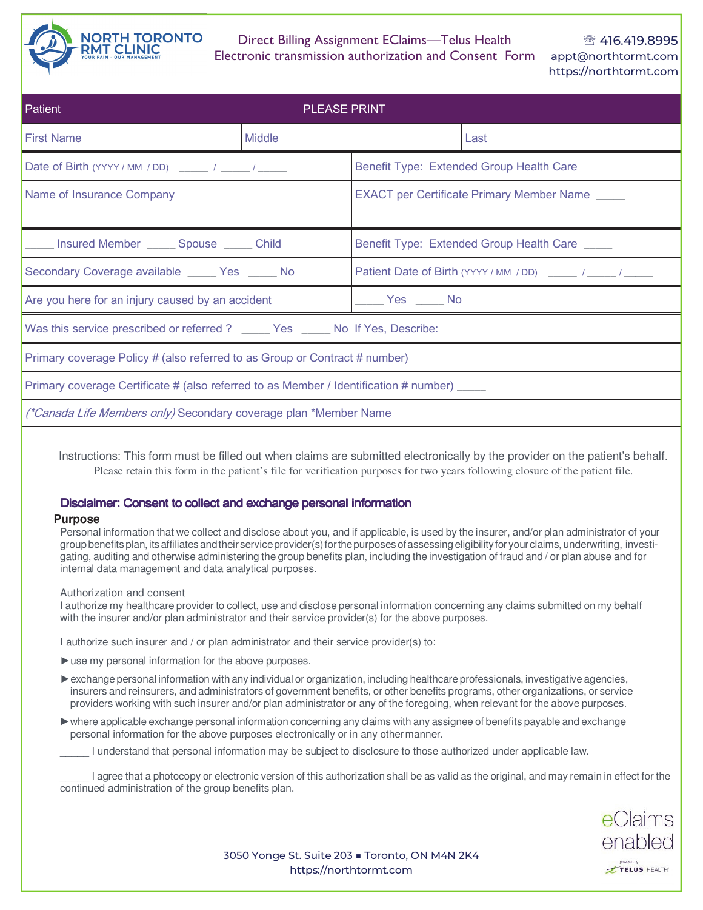

Direct Billing Assignment EClaims—Telus Health Electronic transmission authorization and Consent Form

☎ 416.419.8995 appt@northtormt.com https://northtormt.com https://northtormt.com

| Patient                                                                                     | <b>PLEASE PRINT</b> |                                                        |                                                  |
|---------------------------------------------------------------------------------------------|---------------------|--------------------------------------------------------|--------------------------------------------------|
| <b>First Name</b>                                                                           | <b>Middle</b>       |                                                        | Last                                             |
| Date of Birth (YYYY / MM / DD) _____ / _____ /                                              |                     |                                                        | Benefit Type: Extended Group Health Care         |
| Name of Insurance Company                                                                   |                     |                                                        | <b>EXACT per Certificate Primary Member Name</b> |
| Insured Member _______ Spouse ______ Child                                                  |                     |                                                        | Benefit Type: Extended Group Health Care         |
| Secondary Coverage available ______ Yes ______ No                                           |                     | Patient Date of Birth (YYYY / MM / DD) _____ / _____ / |                                                  |
| Are you here for an injury caused by an accident                                            |                     | No Yes No                                              |                                                  |
| Was this service prescribed or referred ? _____ Yes _____ No If Yes, Describe:              |                     |                                                        |                                                  |
| Primary coverage Policy # (also referred to as Group or Contract # number)                  |                     |                                                        |                                                  |
| Primary coverage Certificate # (also referred to as Member / Identification # number) _____ |                     |                                                        |                                                  |
| (*Canada Life Members only) Secondary coverage plan *Member Name                            |                     |                                                        |                                                  |

Instructions: This form must be filled out when claims are submitted electronically by the provider on the patient's behalf. Please retain this form in the patient's file for verification purposes for two years following closure of the patient file.

## Disclaimer: Consent to collect and exchange personal information

#### **Purpose**

Personal information that we collect and disclose about you, and if applicable, is used by the insurer, and/or plan administrator of your group benefits plan, its affiliates and their service provider(s) for the purposes of assessing eligibility for your claims, underwriting, investigating, auditing and otherwise administering the group benefits plan, including the investigation of fraud and / or plan abuse and for internal data management and data analytical purposes.

Authorization and consent

I authorize my healthcare provider to collect, use and disclose personal information concerning any claims submitted on my behalf with the insurer and/or plan administrator and their service provider(s) for the above purposes.

I authorize such insurer and / or plan administrator and their service provider(s) to:

- $\blacktriangleright$  use my personal information for the above purposes.
- exchange personal information with any individual or organization, including healthcare professionals, investigative agencies, insurers and reinsurers, and administrators of government benefits, or other benefits programs, other organizations, or service providers working with such insurer and/or plan administrator or any of the foregoing, when relevant for the above purposes.
- ɽwhere applicable exchange personal information concerning any claims with any assignee of benefits payable and exchange personal information for the above purposes electronically or in any other manner.
	- I understand that personal information may be subject to disclosure to those authorized under applicable law.

\_\_\_\_\_ I agree that a photocopy or electronic version of this authorization shall be as valid as the original, and may remain in effect for the continued administration of the group benefits plan.



3050 Younge St. Suite 203 Between St. Suite 203 Between St. Suite 203 Between St. Suite 203 Between St. Suite 2 https://northtormt.com